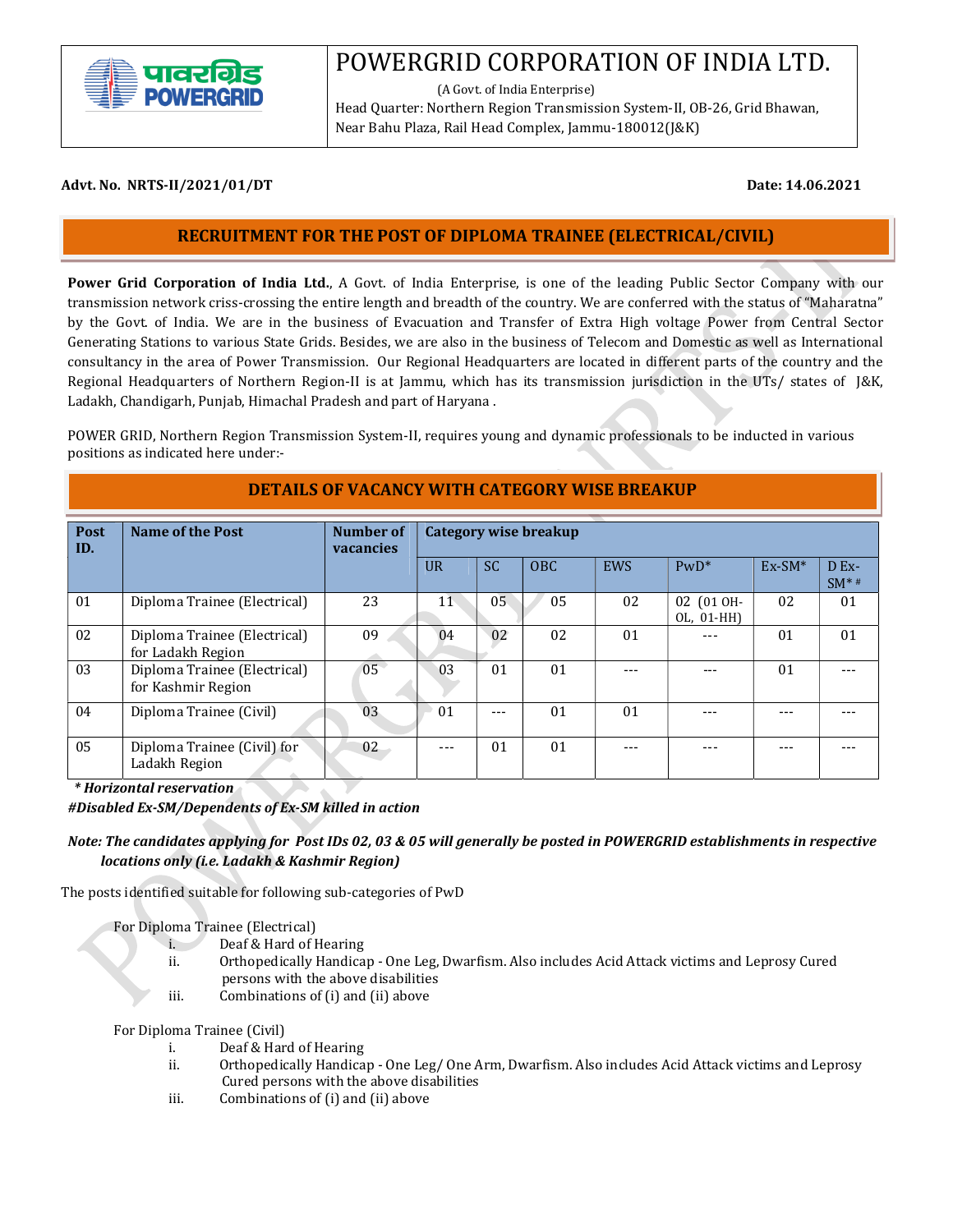

# POWERGRID CORPORATION OF INDIA LTD.

 (A Govt. of India Enterprise) Head Quarter: Northern Region Transmission System-II, OB-26, Grid Bhawan, Near Bahu Plaza, Rail Head Complex, Jammu-180012(J&K)

#### Advt. No. NRTS-II/2021/01/DT **Date: 14.06.2021**

l

# RECRUITMENT FOR THE POST OF DIPLOMA TRAINEE (ELECTRICAL/CIVIL)

Power Grid Corporation of India Ltd., A Govt. of India Enterprise, is one of the leading Public Sector Company with our transmission network criss-crossing the entire length and breadth of the country. We are conferred with the status of "Maharatna" by the Govt. of India. We are in the business of Evacuation and Transfer of Extra High voltage Power from Central Sector Generating Stations to various State Grids. Besides, we are also in the business of Telecom and Domestic as well as International consultancy in the area of Power Transmission. Our Regional Headquarters are located in different parts of the country and the Regional Headquarters of Northern Region-II is at Jammu, which has its transmission jurisdiction in the UTs/ states of J&K, Ladakh, Chandigarh, Punjab, Himachal Pradesh and part of Haryana .

 POWER GRID, Northern Region Transmission System-II, requires young and dynamic professionals to be inducted in various positions as indicated here under:-

#### DETAILS OF VACANCY WITH CATEGORY WISE BREAKUP

| Post<br>ID. | Name of the Post                                   | Number of<br>vacancies | Category wise breakup |           |      |                |                          |          |                 |
|-------------|----------------------------------------------------|------------------------|-----------------------|-----------|------|----------------|--------------------------|----------|-----------------|
|             |                                                    |                        | $_{\text{U}R}$        | <b>SC</b> | OBC. | <b>EWS</b>     | $PWD^*$                  | $Ex-SM*$ | D Ex-<br>$SM**$ |
| 01          | Diploma Trainee (Electrical)                       | 23                     | 11                    | 05        | 05   | 02             | 02 (01 OH-<br>OL, 01-HH) | 02       | 01              |
| 02          | Diploma Trainee (Electrical)<br>for Ladakh Region  | 09                     | 04                    | 02        | 02   | 0 <sub>1</sub> |                          | 01       | 01              |
| 03          | Diploma Trainee (Electrical)<br>for Kashmir Region | 05                     | 03                    | 01        | 01   |                |                          | 01       |                 |
| 04          | Diploma Trainee (Civil)                            | 03                     | 01                    | ---       | 01   | 01             |                          |          |                 |
| 05          | Diploma Trainee (Civil) for<br>Ladakh Region       | 02                     | $- - -$               | 01        | 01   |                |                          |          |                 |

\* Horizontal reservation

#Disabled Ex-SM/Dependents of Ex-SM killed in action

#### Note: The candidates applying for Post IDs 02, 03 & 05 will generally be posted in POWERGRID establishments in respective locations only (i.e. Ladakh & Kashmir Region)

The posts identified suitable for following sub-categories of PwD

For Diploma Trainee (Electrical)

i. Deaf & Hard of Hearing

- ii. Orthopedically Handicap One Leg, Dwarfism. Also includes Acid Attack victims and Leprosy Cured persons with the above disabilities
- iii. Combinations of (i) and (ii) above

For Diploma Trainee (Civil)

- i. Deaf & Hard of Hearing
- ii. Orthopedically Handicap One Leg/ One Arm, Dwarfism. Also includes Acid Attack victims and Leprosy Cured persons with the above disabilities
- iii. Combinations of (i) and (ii) above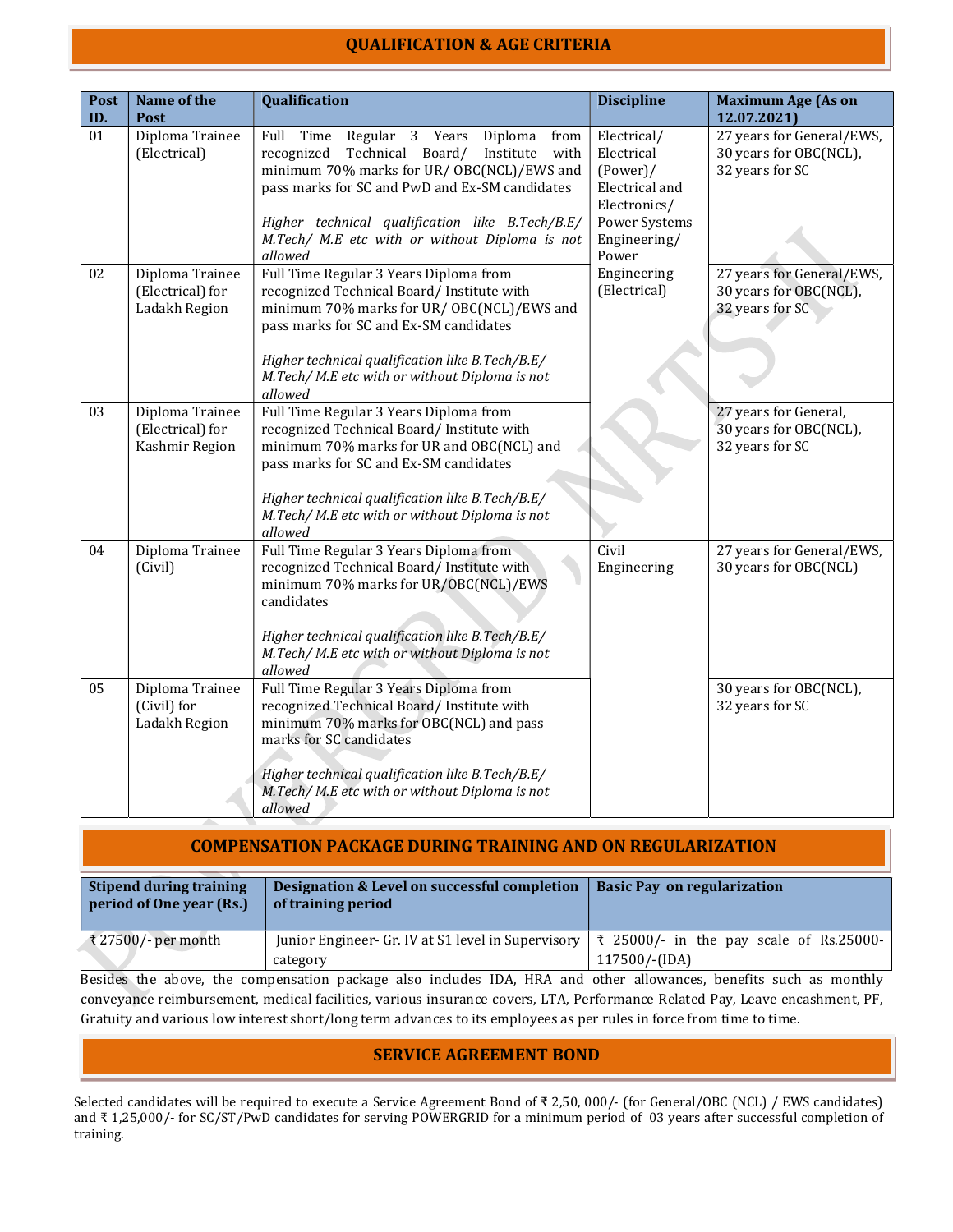# QUALIFICATION & AGE CRITERIA

| Post | Name of the                                           | Qualification                                                                                                                                                                                                                                                                                                             | <b>Discipline</b>                                                                                                    | <b>Maximum Age (As on</b>                                              |
|------|-------------------------------------------------------|---------------------------------------------------------------------------------------------------------------------------------------------------------------------------------------------------------------------------------------------------------------------------------------------------------------------------|----------------------------------------------------------------------------------------------------------------------|------------------------------------------------------------------------|
| ID.  | Post                                                  |                                                                                                                                                                                                                                                                                                                           |                                                                                                                      | 12.07.2021)                                                            |
| 01   | Diploma Trainee<br>(Electrical)                       | Diploma<br>Full<br>Time<br>Regular 3 Years<br>from<br>Technical Board/<br>Institute<br>recognized<br>with<br>minimum 70% marks for UR/ OBC(NCL)/EWS and<br>pass marks for SC and PwD and Ex-SM candidates<br>Higher technical qualification like B.Tech/B.E/<br>M.Tech/ M.E etc with or without Diploma is not<br>allowed | Electrical/<br>Electrical<br>$(Power)$ /<br>Electrical and<br>Electronics/<br>Power Systems<br>Engineering/<br>Power | 27 years for General/EWS,<br>30 years for OBC(NCL),<br>32 years for SC |
| 02   | Diploma Trainee<br>(Electrical) for<br>Ladakh Region  | Full Time Regular 3 Years Diploma from<br>recognized Technical Board/ Institute with<br>minimum 70% marks for UR/ OBC(NCL)/EWS and<br>pass marks for SC and Ex-SM candidates<br>Higher technical qualification like B.Tech/B.E/<br>M.Tech/M.E etc with or without Diploma is not<br>allowed                               | Engineering<br>(Electrical)                                                                                          | 27 years for General/EWS,<br>30 years for OBC(NCL),<br>32 years for SC |
| 03   | Diploma Trainee<br>(Electrical) for<br>Kashmir Region | Full Time Regular 3 Years Diploma from<br>recognized Technical Board/ Institute with<br>minimum 70% marks for UR and OBC(NCL) and<br>pass marks for SC and Ex-SM candidates<br>Higher technical qualification like B.Tech/B.E/<br>M.Tech/ M.E etc with or without Diploma is not<br>allowed                               |                                                                                                                      | 27 years for General,<br>30 years for OBC(NCL),<br>32 years for SC     |
| 04   | Diploma Trainee<br>(Civil)                            | Full Time Regular 3 Years Diploma from<br>recognized Technical Board/ Institute with<br>minimum 70% marks for UR/OBC(NCL)/EWS<br>candidates<br>Higher technical qualification like B.Tech/B.E/<br>M.Tech/ M.E etc with or without Diploma is not<br>allowed                                                               | Civil<br>Engineering                                                                                                 | 27 years for General/EWS,<br>30 years for OBC(NCL)                     |
| 05   | Diploma Trainee<br>(Civil) for<br>Ladakh Region       | Full Time Regular 3 Years Diploma from<br>recognized Technical Board/ Institute with<br>minimum 70% marks for OBC(NCL) and pass<br>marks for SC candidates<br>Higher technical qualification like B.Tech/B.E/<br>M.Tech/M.E etc with or without Diploma is not<br>allowed                                                 |                                                                                                                      | 30 years for OBC(NCL),<br>32 years for SC                              |

## COMPENSATION PACKAGE DURING TRAINING AND ON REGULARIZATION

| Stipend during training<br>period of One year (Rs.) | Designation & Level on successful completion<br>of training period                                         | <b>Basic Pay on regularization</b> |  |  |  |
|-----------------------------------------------------|------------------------------------------------------------------------------------------------------------|------------------------------------|--|--|--|
| ₹27500/- per month                                  | Junior Engineer- Gr. IV at S1 level in Supervisory $\vert \xi \vert$ 25000/- in the pay scale of Rs.25000- |                                    |  |  |  |
|                                                     | category                                                                                                   | 117500/-(IDA)                      |  |  |  |

 Besides the above, the compensation package also includes IDA, HRA and other allowances, benefits such as monthly conveyance reimbursement, medical facilities, various insurance covers, LTA, Performance Related Pay, Leave encashment, PF, Gratuity and various low interest short/long term advances to its employees as per rules in force from time to time.

#### SERVICE AGREEMENT BOND

Selected candidates will be required to execute a Service Agreement Bond of ₹ 2,50, 000/- (for General/OBC (NCL) / EWS candidates) and ₹ 1,25,000/- for SC/ST/PwD candidates for serving POWERGRID for a minimum period of 03 years after successful completion of training.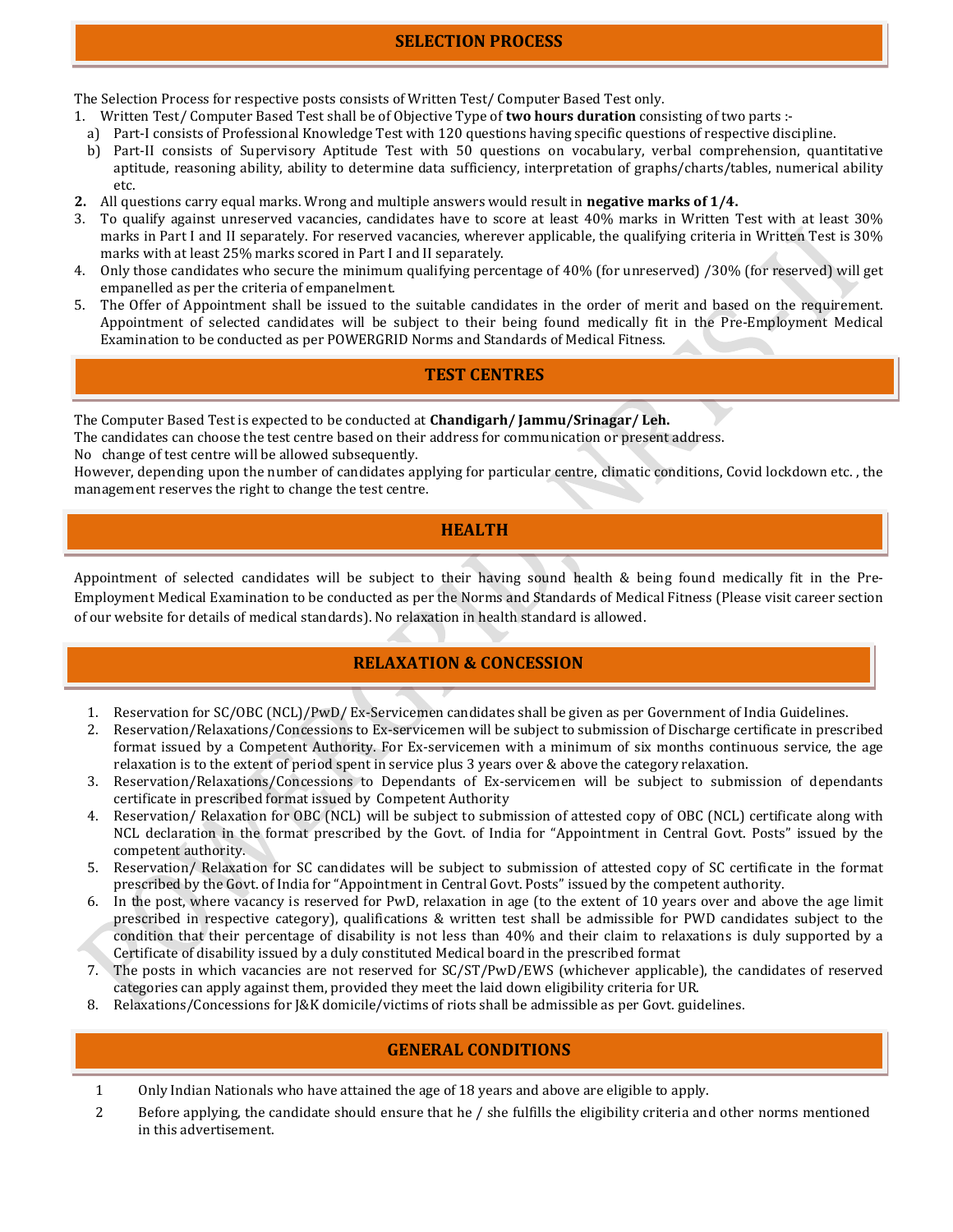The Selection Process for respective posts consists of Written Test/ Computer Based Test only.

- 1. Written Test/ Computer Based Test shall be of Objective Type of **two hours duration** consisting of two parts :
	- a) Part-I consists of Professional Knowledge Test with 120 questions having specific questions of respective discipline.
	- b) Part-II consists of Supervisory Aptitude Test with 50 questions on vocabulary, verbal comprehension, quantitative aptitude, reasoning ability, ability to determine data sufficiency, interpretation of graphs/charts/tables, numerical ability etc.
- 2. All questions carry equal marks. Wrong and multiple answers would result in **negative marks of 1/4.**
- 3. To qualify against unreserved vacancies, candidates have to score at least 40% marks in Written Test with at least 30% marks in Part I and II separately. For reserved vacancies, wherever applicable, the qualifying criteria in Written Test is 30% marks with at least 25% marks scored in Part I and II separately.
- 4. Only those candidates who secure the minimum qualifying percentage of 40% (for unreserved) /30% (for reserved) will get empanelled as per the criteria of empanelment.
- 5. The Offer of Appointment shall be issued to the suitable candidates in the order of merit and based on the requirement. Appointment of selected candidates will be subject to their being found medically fit in the Pre-Employment Medical Examination to be conducted as per POWERGRID Norms and Standards of Medical Fitness.

## TEST CENTRES

The Computer Based Test is expected to be conducted at **Chandigarh/Jammu/Srinagar/Leh.** 

The candidates can choose the test centre based on their address for communication or present address.

No change of test centre will be allowed subsequently.

However, depending upon the number of candidates applying for particular centre, climatic conditions, Covid lockdown etc. , the management reserves the right to change the test centre.

#### **HEALTH**

Appointment of selected candidates will be subject to their having sound health & being found medically fit in the Pre-Employment Medical Examination to be conducted as per the Norms and Standards of Medical Fitness (Please visit career section of our website for details of medical standards). No relaxation in health standard is allowed.

# RELAXATION & CONCESSION

- 1. Reservation for SC/OBC (NCL)/PwD/ Ex-Servicemen candidates shall be given as per Government of India Guidelines.
- 2. Reservation/Relaxations/Concessions to Ex-servicemen will be subject to submission of Discharge certificate in prescribed format issued by a Competent Authority. For Ex-servicemen with a minimum of six months continuous service, the age relaxation is to the extent of period spent in service plus 3 years over & above the category relaxation.
- 3. Reservation/Relaxations/Concessions to Dependants of Ex-servicemen will be subject to submission of dependants certificate in prescribed format issued by Competent Authority
- 4. Reservation/ Relaxation for OBC (NCL) will be subject to submission of attested copy of OBC (NCL) certificate along with NCL declaration in the format prescribed by the Govt. of India for "Appointment in Central Govt. Posts" issued by the competent authority.
- 5. Reservation/ Relaxation for SC candidates will be subject to submission of attested copy of SC certificate in the format prescribed by the Govt. of India for "Appointment in Central Govt. Posts" issued by the competent authority.
- 6. In the post, where vacancy is reserved for PwD, relaxation in age (to the extent of 10 years over and above the age limit prescribed in respective category), qualifications & written test shall be admissible for PWD candidates subject to the condition that their percentage of disability is not less than 40% and their claim to relaxations is duly supported by a Certificate of disability issued by a duly constituted Medical board in the prescribed format
- 7. The posts in which vacancies are not reserved for SC/ST/PwD/EWS (whichever applicable), the candidates of reserved categories can apply against them, provided they meet the laid down eligibility criteria for UR.
- 8. Relaxations/Concessions for J&K domicile/victims of riots shall be admissible as per Govt. guidelines.

## GENERAL CONDITIONS

- 1 Only Indian Nationals who have attained the age of 18 years and above are eligible to apply.
- 2 Before applying, the candidate should ensure that he / she fulfills the eligibility criteria and other norms mentioned in this advertisement.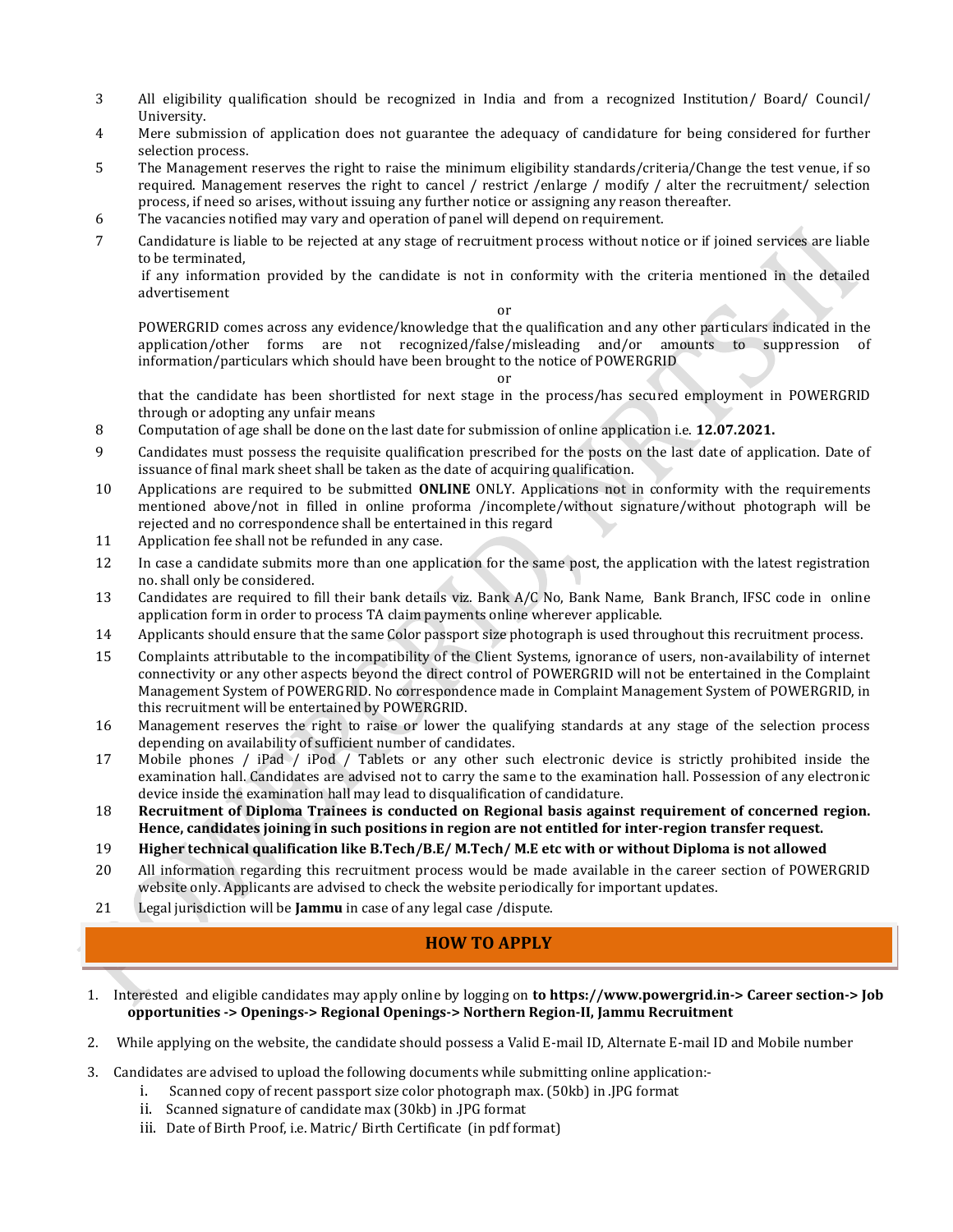- 3 All eligibility qualification should be recognized in India and from a recognized Institution/ Board/ Council/ University.
- 4 Mere submission of application does not guarantee the adequacy of candidature for being considered for further selection process.
- 5 The Management reserves the right to raise the minimum eligibility standards/criteria/Change the test venue, if so required. Management reserves the right to cancel / restrict /enlarge / modify / alter the recruitment/ selection process, if need so arises, without issuing any further notice or assigning any reason thereafter.
- 6 The vacancies notified may vary and operation of panel will depend on requirement.
- 7 Candidature is liable to be rejected at any stage of recruitment process without notice or if joined services are liable to be terminated,

 if any information provided by the candidate is not in conformity with the criteria mentioned in the detailed advertisement

#### or

POWERGRID comes across any evidence/knowledge that the qualification and any other particulars indicated in the application/other forms are not recognized/false/misleading and/or amounts to suppression of information/particulars which should have been brought to the notice of POWERGRID

#### or

that the candidate has been shortlisted for next stage in the process/has secured employment in POWERGRID through or adopting any unfair means

- 8 Computation of age shall be done on the last date for submission of online application i.e. 12.07.2021.
- 9 Candidates must possess the requisite qualification prescribed for the posts on the last date of application. Date of issuance of final mark sheet shall be taken as the date of acquiring qualification.
- 10 Applications are required to be submitted **ONLINE** ONLY. Applications not in conformity with the requirements mentioned above/not in filled in online proforma /incomplete/without signature/without photograph will be rejected and no correspondence shall be entertained in this regard
- 11 Application fee shall not be refunded in any case.
- 12 In case a candidate submits more than one application for the same post, the application with the latest registration no. shall only be considered.
- 13 Candidates are required to fill their bank details viz. Bank A/C No, Bank Name, Bank Branch, IFSC code in online application form in order to process TA claim payments online wherever applicable.
- 14 Applicants should ensure that the same Color passport size photograph is used throughout this recruitment process.
- 15 Complaints attributable to the incompatibility of the Client Systems, ignorance of users, non-availability of internet connectivity or any other aspects beyond the direct control of POWERGRID will not be entertained in the Complaint Management System of POWERGRID. No correspondence made in Complaint Management System of POWERGRID, in this recruitment will be entertained by POWERGRID.
- 16 Management reserves the right to raise or lower the qualifying standards at any stage of the selection process depending on availability of sufficient number of candidates.
- 17 Mobile phones / iPad / iPod / Tablets or any other such electronic device is strictly prohibited inside the examination hall. Candidates are advised not to carry the same to the examination hall. Possession of any electronic device inside the examination hall may lead to disqualification of candidature.
- 18 Recruitment of Diploma Trainees is conducted on Regional basis against requirement of concerned region. Hence, candidates joining in such positions in region are not entitled for inter-region transfer request.
- 19 Higher technical qualification like B.Tech/B.E/ M.Tech/ M.E etc with or without Diploma is not allowed
- 20 All information regarding this recruitment process would be made available in the career section of POWERGRID website only. Applicants are advised to check the website periodically for important updates.
- 21 Legal jurisdiction will be **Jammu** in case of any legal case /dispute.

## HOW TO APPLY

- 1. Interested and eligible candidates may apply online by logging on to https://www.powergrid.in-> Career section-> Job opportunities -> Openings-> Regional Openings-> Northern Region-II, Jammu Recruitment
- 2. While applying on the website, the candidate should possess a Valid E-mail ID, Alternate E-mail ID and Mobile number
- 3. Candidates are advised to upload the following documents while submitting online application:
	- i. Scanned copy of recent passport size color photograph max. (50kb) in .JPG format
	- ii. Scanned signature of candidate max (30kb) in .JPG format
	- iii. Date of Birth Proof, i.e. Matric/ Birth Certificate (in pdf format)